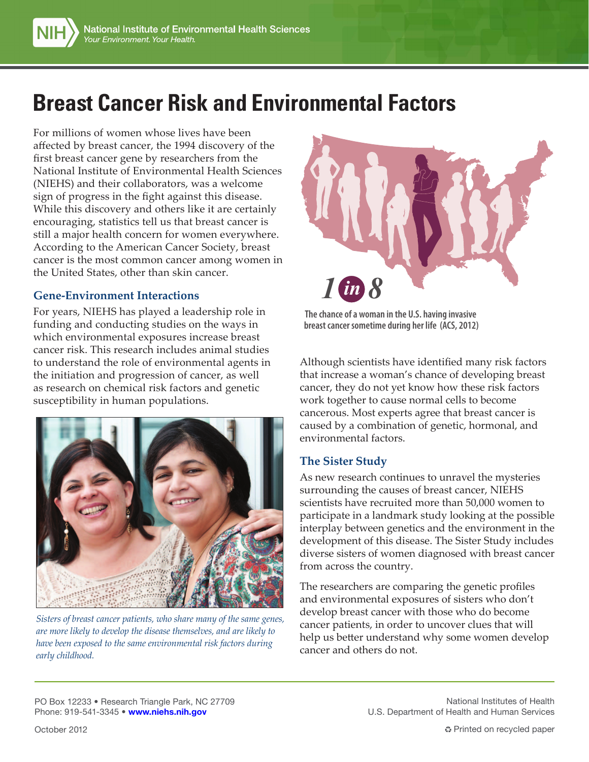# **Breast Cancer Risk and Environmental Factors**

For millions of women whose lives have been affected by breast cancer, the 1994 discovery of the first breast cancer gene by researchers from the National Institute of Environmental Health Sciences (NIEHS) and their collaborators, was a welcome sign of progress in the fight against this disease. While this discovery and others like it are certainly encouraging, statistics tell us that breast cancer is still a major health concern for women everywhere. According to the American Cancer Society, breast cancer is the most common cancer among women in the United States, other than skin cancer.

#### **Gene-Environment Interactions**

For years, NIEHS has played a leadership role in funding and conducting studies on the ways in which environmental exposures increase breast cancer risk. This research includes animal studies to understand the role of environmental agents in the initiation and progression of cancer, as well as research on chemical risk factors and genetic susceptibility in human populations.



*Sisters of breast cancer patients, who share many of the same genes, are more likely to develop the disease themselves, and are likely to have been exposed to the same environmental risk factors during early childhood.*



**The chance of a woman in the U.S. having invasive breast cancer sometime during her life (ACS, 2012)**

Although scientists have identified many risk factors that increase a woman's chance of developing breast cancer, they do not yet know how these risk factors work together to cause normal cells to become cancerous. Most experts agree that breast cancer is caused by a combination of genetic, hormonal, and environmental factors.

#### **The Sister Study**

As new research continues to unravel the mysteries surrounding the causes of breast cancer, NIEHS scientists have recruited more than 50,000 women to participate in a landmark study looking at the possible interplay between genetics and the environment in the development of this disease. The Sister Study includes diverse sisters of women diagnosed with breast cancer from across the country.

The researchers are comparing the genetic profiles and environmental exposures of sisters who don't develop breast cancer with those who do become cancer patients, in order to uncover clues that will help us better understand why some women develop cancer and others do not.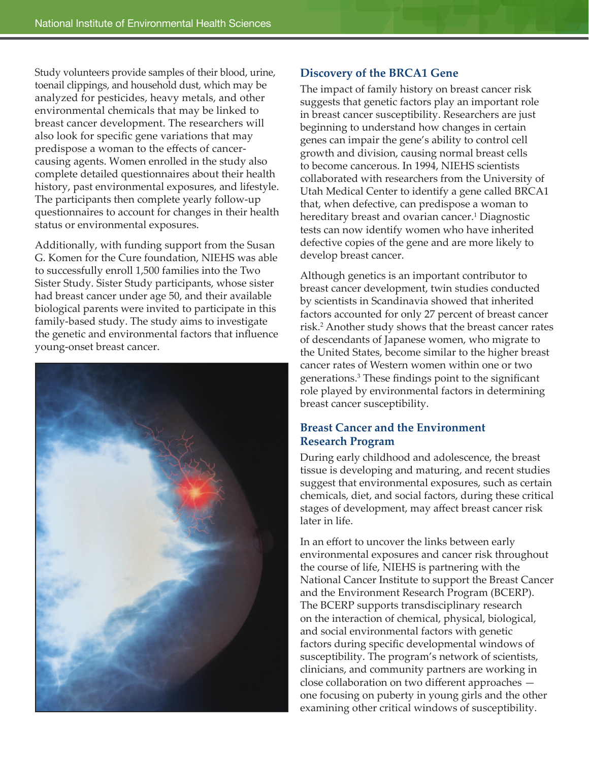Study volunteers provide samples of their blood, urine, toenail clippings, and household dust, which may be analyzed for pesticides, heavy metals, and other environmental chemicals that may be linked to breast cancer development. The researchers will also look for specific gene variations that may predispose a woman to the effects of cancercausing agents. Women enrolled in the study also complete detailed questionnaires about their health history, past environmental exposures, and lifestyle. The participants then complete yearly follow-up questionnaires to account for changes in their health status or environmental exposures.

Additionally, with funding support from the Susan G. Komen for the Cure foundation, NIEHS was able to successfully enroll 1,500 families into the Two Sister Study. Sister Study participants, whose sister had breast cancer under age 50, and their available biological parents were invited to participate in this family-based study. The study aims to investigate the genetic and environmental factors that influence young-onset breast cancer.



#### **Discovery of the BRCA1 Gene**

The impact of family history on breast cancer risk suggests that genetic factors play an important role in breast cancer susceptibility. Researchers are just beginning to understand how changes in certain genes can impair the gene's ability to control cell growth and division, causing normal breast cells to become cancerous. In 1994, NIEHS scientists collaborated with researchers from the University of Utah Medical Center to identify a gene called BRCA1 that, when defective, can predispose a woman to hereditary breast and ovarian cancer.<sup>1</sup> Diagnostic tests can now identify women who have inherited defective copies of the gene and are more likely to develop breast cancer.

Although genetics is an important contributor to breast cancer development, twin studies conducted by scientists in Scandinavia showed that inherited factors accounted for only 27 percent of breast cancer risk.<sup>2</sup> Another study shows that the breast cancer rates of descendants of Japanese women, who migrate to the United States, become similar to the higher breast cancer rates of Western women within one or two generations.3 These findings point to the significant role played by environmental factors in determining breast cancer susceptibility.

### **Breast Cancer and the Environment Research Program**

During early childhood and adolescence, the breast tissue is developing and maturing, and recent studies suggest that environmental exposures, such as certain chemicals, diet, and social factors, during these critical stages of development, may affect breast cancer risk later in life.

In an effort to uncover the links between early environmental exposures and cancer risk throughout the course of life, NIEHS is partnering with the National Cancer Institute to support the Breast Cancer and the Environment Research Program (BCERP). The BCERP supports transdisciplinary research on the interaction of chemical, physical, biological, and social environmental factors with genetic factors during specific developmental windows of susceptibility. The program's network of scientists, clinicians, and community partners are working in close collaboration on two different approaches one focusing on puberty in young girls and the other examining other critical windows of susceptibility.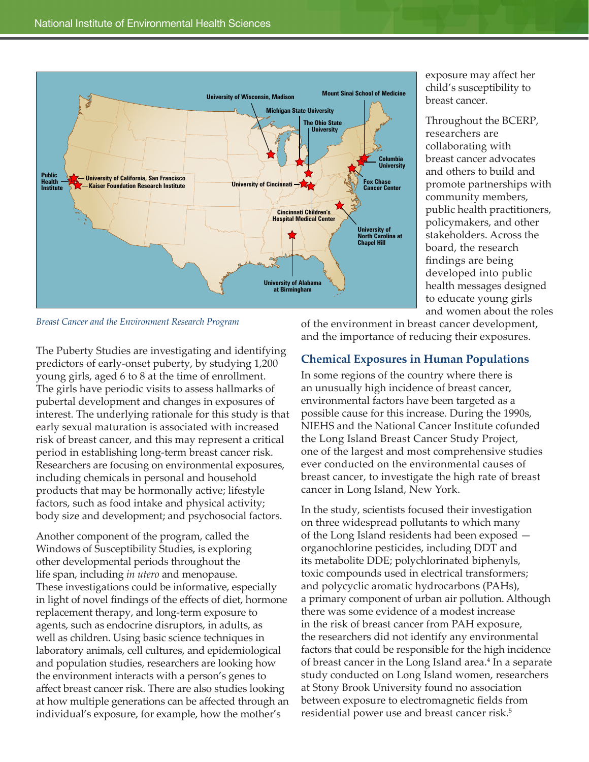

*Breast Cancer and the Environment Research Program*

The Puberty Studies are investigating and identifying predictors of early-onset puberty, by studying 1,200 young girls, aged 6 to 8 at the time of enrollment. The girls have periodic visits to assess hallmarks of pubertal development and changes in exposures of interest. The underlying rationale for this study is that early sexual maturation is associated with increased risk of breast cancer, and this may represent a critical period in establishing long-term breast cancer risk. Researchers are focusing on environmental exposures, including chemicals in personal and household products that may be hormonally active; lifestyle factors, such as food intake and physical activity; body size and development; and psychosocial factors.

Another component of the program, called the Windows of Susceptibility Studies, is exploring other developmental periods throughout the life span, including *in utero* and menopause. These investigations could be informative, especially in light of novel findings of the effects of diet, hormone replacement therapy, and long-term exposure to agents, such as endocrine disruptors, in adults, as well as children. Using basic science techniques in laboratory animals, cell cultures, and epidemiological and population studies, researchers are looking how the environment interacts with a person's genes to affect breast cancer risk. There are also studies looking at how multiple generations can be affected through an individual's exposure, for example, how the mother's

and women about the roles

exposure may affect her child's susceptibility to breast cancer.

Throughout the BCERP, researchers are collaborating with breast cancer advocates and others to build and promote partnerships with community members, public health practitioners, policymakers, and other stakeholders. Across the board, the research findings are being developed into public health messages designed to educate young girls

of the environment in breast cancer development, and the importance of reducing their exposures.

## **Chemical Exposures in Human Populations**

In some regions of the country where there is an unusually high incidence of breast cancer, environmental factors have been targeted as a possible cause for this increase. During the 1990s, NIEHS and the National Cancer Institute cofunded the Long Island Breast Cancer Study Project, one of the largest and most comprehensive studies ever conducted on the environmental causes of breast cancer, to investigate the high rate of breast cancer in Long Island, New York.

In the study, scientists focused their investigation on three widespread pollutants to which many of the Long Island residents had been exposed organochlorine pesticides, including DDT and its metabolite DDE; polychlorinated biphenyls, toxic compounds used in electrical transformers; and polycyclic aromatic hydrocarbons (PAHs), a primary component of urban air pollution. Although there was some evidence of a modest increase in the risk of breast cancer from PAH exposure, the researchers did not identify any environmental factors that could be responsible for the high incidence of breast cancer in the Long Island area.<sup>4</sup> In a separate study conducted on Long Island women, researchers at Stony Brook University found no association between exposure to electromagnetic fields from residential power use and breast cancer risk.<sup>5</sup>